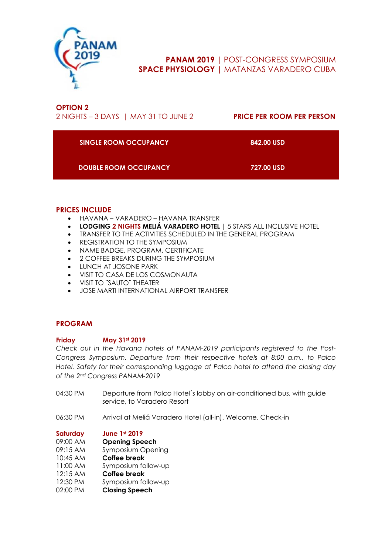

# **PANAM 2019 |** POST-CONGRESS SYMPOSIUM **SPACE PHYSIOLOGY |** MATANZAS VARADERO CUBA

## **OPTION 2**

2 NIGHTS – 3 DAYS | MAY 31 TO JUNE 2 **PRICE PER ROOM PER PERSON** 

| <b>SINGLE ROOM OCCUPANCY</b> | 842.00 USD |
|------------------------------|------------|
| <b>DOUBLE ROOM OCCUPANCY</b> | 727.00 USD |

## **PRICES INCLUDE**

- HAVANA VARADERO HAVANA TRANSFER
- **LODGING 2 NIGHTS MELIÁ VARADERO HOTEL |** 5 STARS ALL INCLUSIVE HOTEL
- TRANSFER TO THE ACTIVITIES SCHEDULED IN THE GENERAL PROGRAM
- REGISTRATION TO THE SYMPOSIUM
- NAME BADGE, PROGRAM, CERTIFICATE
- 2 COFFEE BREAKS DURING THE SYMPOSIUM
- LUNCH AT JOSONE PARK
- VISIT TO CASA DE LOS COSMONAUTA
- VISIT TO ¨SAUTO¨ THEATER
- JOSE MARTI INTERNATIONAL AIRPORT TRANSFER

## **PROGRAM**

## **Friday May 31st 2019**

*Check out in the Havana hotels of PANAM-2019 participants registered to the Post-Congress Symposium. Departure from their respective hotels at 8:00 a.m., to Palco Hotel. Safety for their corresponding luggage at Palco hotel to attend the closing day of the 2nd Congress PANAM-2019*

- 04:30 PM Departure from Palco Hotel´s lobby on air-conditioned bus, with guide service, to Varadero Resort
- 06:30 PM Arrival at Meliá Varadero Hotel (all-in). Welcome. Check-in

**Saturday June 1st 2019**

| 09:00 AM | <b>Opening Speech</b>    |
|----------|--------------------------|
| 09:15 AM | <b>Symposium Opening</b> |

- 10:45 AM **Coffee break**
- 11:00 AM Symposium follow-up
- 12:15 AM **Coffee break**
- 12:30 PM Symposium follow-up
- 02:00 PM **Closing Speech**